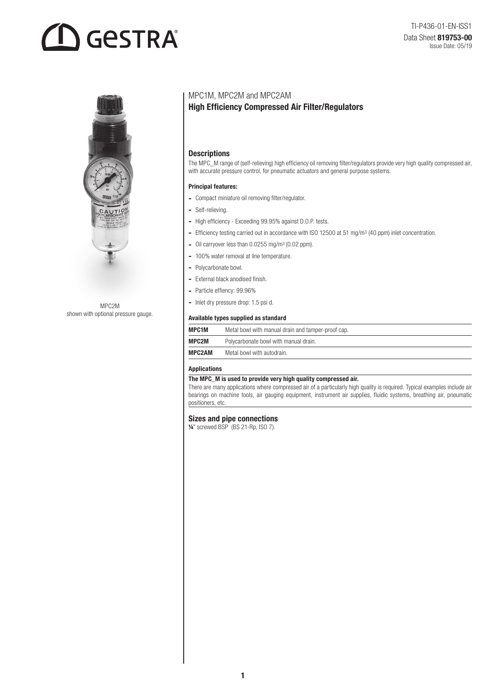# **GESTRA**



MPC2M shown with optional pressure gauge.

# MPC1M, MPC2M and MPC2AM

# High Efficiency Compressed Air Filter/Regulators

# **Descriptions**

The MPC\_M range of (self-relieving) high efficiency oil removing filter/regulators provide very high quality compressed air, with accurate pressure control, for pneumatic actuators and general purpose systems.

#### Principal features:

- Compact miniature oil removing filter/regulator.
- Self-relieving.
- High efficiency Exceeding 99.95% against D.O.P. tests.
- Efficiency testing carried out in accordance with ISO 12500 at 51 mg/m<sup>3</sup> (40 ppm) inlet concentration.
- Oil carryover less than 0.0255 mg/m<sup>3</sup> (0.02 ppm).
- 100% water removal at line temperature.
- Polycarbonate bowl.
- External black anodised finish.
- Particle effiency: 99.96%
- Inlet dry pressure drop: 1.5 psi d.

#### Available types supplied as standard

| <b>MPC1M</b>  | Metal bowl with manual drain and tamper-proof cap. |  |  |
|---------------|----------------------------------------------------|--|--|
| MPC2M         | Polycarbonate bowl with manual drain.              |  |  |
| <b>MPC2AM</b> | Metal bowl with autodrain.                         |  |  |

# Applications

### The MPC\_M is used to provide very high quality compressed air.

There are many applications where compressed air of a particularly high quality is required. Typical examples include air bearings on machine tools, air gauging equipment, instrument air supplies, fluidic systems, breathing air, pneumatic positioners, etc.

#### Sizes and pipe connections

¼" screwed BSP (BS 21-Rp, ISO 7).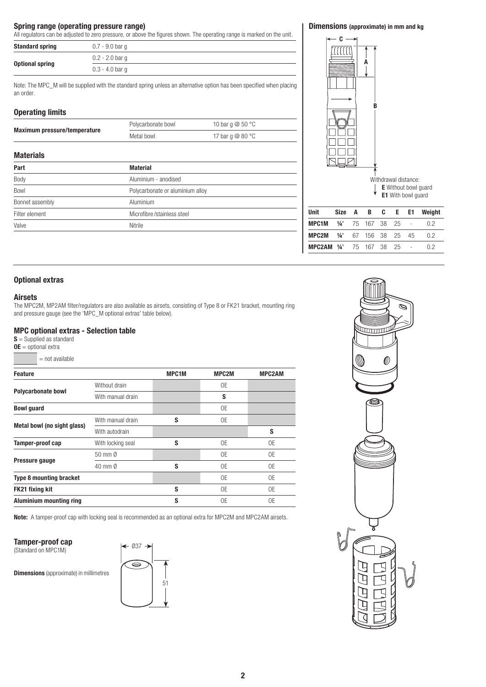### Spring range (operating pressure range)

All regulators can be adjusted to zero pressure, or above the figures shown. The operating range is marked on the unit.

| <b>Standard spring</b> | 0.7 - 9.0 bar q   |
|------------------------|-------------------|
|                        | $0.2 - 2.0$ bar q |
| <b>Optional spring</b> | $0.3 - 4.0$ bar g |

Note: The MPC\_M will be supplied with the standard spring unless an alternative option has been specified when placing an order.

#### Operating limits

| -p-1-0-1-1-20 --------       |                    |                              |  |
|------------------------------|--------------------|------------------------------|--|
| Maximum pressure/temperature | Polycarbonate bowl | 10 bar q $@$ 50 $^{\circ}$ C |  |
|                              | Metal bowl         | 17 bar q $@$ 80 $^{\circ}$ C |  |

#### **Materials**

| Part            | <b>Material</b>                  |  |  |
|-----------------|----------------------------------|--|--|
| Body            | Aluminium - anodised             |  |  |
| Bowl            | Polycarbonate or aluminium alloy |  |  |
| Bonnet assembly | Aluminium                        |  |  |
| Filter element  | Microfibre/stainless steel       |  |  |
| Valve           | Nitrile                          |  |  |

# Dimensions (approximate) in mm and kg



### Optional extras

#### Airsets

The MPC2M, MP2AM filter/regulators are also available as airsets, consisting of Type 8 or FK21 bracket, mounting ring and pressure gauge (see the 'MPC\_M optional extras' table below).

# MPC optional extras - Selection table

 $S =$  Supplied as standard

 $OE =$  optional extra

= not available

| <b>Feature</b>                                                         |                   | <b>MPC1M</b>                                   | <b>MPC2M</b> | <b>MPC2AM</b> |
|------------------------------------------------------------------------|-------------------|------------------------------------------------|--------------|---------------|
|                                                                        | Without drain     |                                                | 0E           |               |
| <b>Polycarbonate bowl</b>                                              | With manual drain | S<br>0E<br>S<br>0E<br>S<br>0E<br>0E<br>S<br>0E |              |               |
| <b>Bowl</b> guard                                                      |                   |                                                |              |               |
|                                                                        | With manual drain |                                                |              |               |
| Metal bowl (no sight glass)                                            | With autodrain    | 0E<br>S<br>0E                                  | S            |               |
| Tamper-proof cap                                                       | With locking seal |                                                |              | 0E            |
| 50 mm Ø<br>Pressure gauge<br>40 mm Ø<br><b>Type 8 mounting bracket</b> |                   |                                                |              | 0E            |
|                                                                        |                   | 0E                                             |              |               |
|                                                                        |                   |                                                |              | 0E            |
| <b>FK21 fixing kit</b>                                                 |                   |                                                |              | 0E            |
| <b>Aluminium mounting ring</b>                                         |                   | S                                              | 0E           | 0E            |

Note: A tamper-proof cap with locking seal is recommended as an optional extra for MPC2M and MPC2AM airsets.

#### Tamper-proof cap

(Standard on MPC1M)

**Dimensions** (approximate) in millimetres



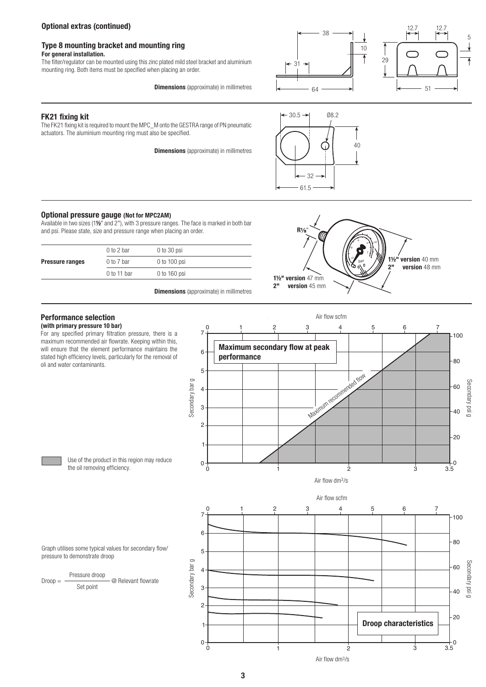# Optional extras (continued)

# Type 8 mounting bracket and mounting ring

#### For general installation.

The filter/regulator can be mounted using this zinc plated mild steel bracket and aluminium mounting ring. Both items must be specified when placing an order.

38 10 64 31



#### FK21 fixing kit

The FK21 fixing kit is required to mount the MPC\_M onto the GESTRA range of PN pneumatic actuators. The aluminium mounting ring must also be specified.

**Dimensions** (approximate) in millimetres

**Dimensions** (approximate) in millimetres



# Optional pressure gauge (Not for MPC2AM)

Available in two sizes (1½" and 2"), with 3 pressure ranges. The face is marked in both bar and psi. Please state, size and pressure range when placing an order.

|                        | $0$ to 2 bar   | $0$ to 30 psi  |  |
|------------------------|----------------|----------------|--|
| <b>Pressure ranges</b> | $0$ to $7$ bar | $0$ to 100 psi |  |
|                        | $0$ to 11 bar  | $0$ to 160 psi |  |
|                        |                |                |  |





#### Performance selection (with primary pressure 10 bar)

For any specified primary filtration pressure, there is a maximum recommended air flowrate. Keeping within this, will ensure that the element performance maintains the stated high efficiency levels, particularly for the removal of oli and water contaminants.



Air flow dm3/s

Air flow scfm

Use of the product in this region may reduce the oil removing efficiency.

Graph utilises some typical values for secondary flow/ pressure to demonstrate droop